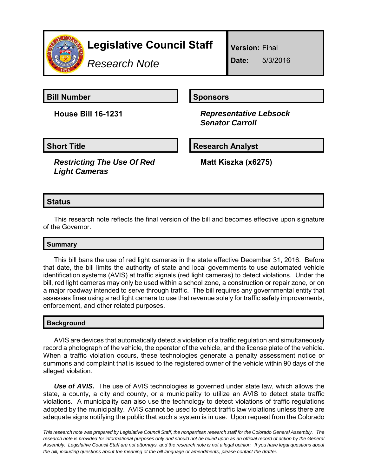

# **Legislative Council Staff**

*Research Note*

**Version:** Final

**Date:** 5/3/2016

**Bill Number Sponsors** 

**House Bill 16-1231** *Representative Lebsock Senator Carroll*

*Restricting The Use Of Red Light Cameras*

Short Title **Research Analyst** 

**Matt Kiszka (x6275)**

# **Status**

This research note reflects the final version of the bill and becomes effective upon signature of the Governor.

# **Summary**

This bill bans the use of red light cameras in the state effective December 31, 2016. Before that date, the bill limits the authority of state and local governments to use automated vehicle identification systems (AVIS) at traffic signals (red light cameras) to detect violations. Under the bill, red light cameras may only be used within a school zone, a construction or repair zone, or on a major roadway intended to serve through traffic. The bill requires any governmental entity that assesses fines using a red light camera to use that revenue solely for traffic safety improvements, enforcement, and other related purposes.

## **Background**

AVIS are devices that automatically detect a violation of a traffic regulation and simultaneously record a photograph of the vehicle, the operator of the vehicle, and the license plate of the vehicle. When a traffic violation occurs, these technologies generate a penalty assessment notice or summons and complaint that is issued to the registered owner of the vehicle within 90 days of the alleged violation.

*Use of AVIS.* The use of AVIS technologies is governed under state law, which allows the state, a county, a city and county, or a municipality to utilize an AVIS to detect state traffic violations. A municipality can also use the technology to detect violations of traffic regulations adopted by the municipality. AVIS cannot be used to detect traffic law violations unless there are adequate signs notifying the public that such a system is in use. Upon request from the Colorado

*This research note was prepared by Legislative Council Staff, the nonpartisan research staff for the Colorado General Assembly. The research note is provided for informational purposes only and should not be relied upon as an official record of action by the General Assembly. Legislative Council Staff are not attorneys, and the research note is not a legal opinion. If you have legal questions about the bill, including questions about the meaning of the bill language or amendments, please contact the drafter.*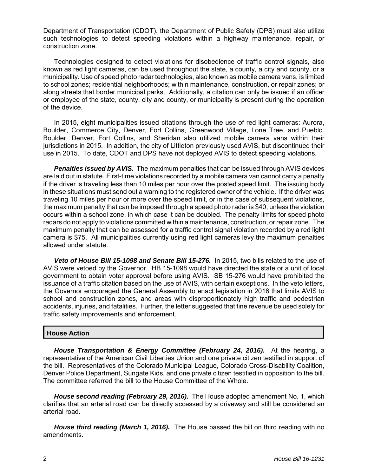Department of Transportation (CDOT), the Department of Public Safety (DPS) must also utilize such technologies to detect speeding violations within a highway maintenance, repair, or construction zone.

Technologies designed to detect violations for disobedience of traffic control signals, also known as red light cameras, can be used throughout the state, a county, a city and county, or a municipality. Use of speed photo radar technologies, also known as mobile camera vans, is limited to school zones; residential neighborhoods; within maintenance, construction, or repair zones; or along streets that border municipal parks. Additionally, a citation can only be issued if an officer or employee of the state, county, city and county, or municipality is present during the operation of the device.

In 2015, eight municipalities issued citations through the use of red light cameras: Aurora, Boulder, Commerce City, Denver, Fort Collins, Greenwood Village, Lone Tree, and Pueblo. Boulder, Denver, Fort Collins, and Sheridan also utilized mobile camera vans within their jurisdictions in 2015. In addition, the city of Littleton previously used AVIS, but discontinued their use in 2015. To date, CDOT and DPS have not deployed AVIS to detect speeding violations.

**Penalties issued by AVIS.** The maximum penalties that can be issued through AVIS devices are laid out in statute*.* First-time violations recorded by a mobile camera van cannot carry a penalty if the driver is traveling less than 10 miles per hour over the posted speed limit. The issuing body in these situations must send out a warning to the registered owner of the vehicle. If the driver was traveling 10 miles per hour or more over the speed limit, or in the case of subsequent violations, the maximum penalty that can be imposed through a speed photo radar is \$40, unless the violation occurs within a school zone, in which case it can be doubled. The penalty limits for speed photo radars do not apply to violations committed within a maintenance, construction, or repair zone. The maximum penalty that can be assessed for a traffic control signal violation recorded by a red light camera is \$75. All municipalities currently using red light cameras levy the maximum penalties allowed under statute.

*Veto of House Bill 15-1098 and Senate Bill 15-276.* In 2015, two bills related to the use of AVIS were vetoed by the Governor. HB 15-1098 would have directed the state or a unit of local government to obtain voter approval before using AVIS. SB 15-276 would have prohibited the issuance of a traffic citation based on the use of AVIS, with certain exceptions. In the veto letters, the Governor encouraged the General Assembly to enact legislation in 2016 that limits AVIS to school and construction zones, and areas with disproportionately high traffic and pedestrian accidents, injuries, and fatalities. Further, the letter suggested that fine revenue be used solely for traffic safety improvements and enforcement.

## **House Action**

*House Transportation & Energy Committee (February 24, 2016).* At the hearing, a representative of the American Civil Liberties Union and one private citizen testified in support of the bill. Representatives of the Colorado Municipal League, Colorado Cross-Disability Coalition, Denver Police Department, Sungate Kids, and one private citizen testified in opposition to the bill. The committee referred the bill to the House Committee of the Whole.

*House second reading (February 29, 2016).* The House adopted amendment No. 1, which clarifies that an arterial road can be directly accessed by a driveway and still be considered an arterial road.

*House third reading (March 1, 2016).* The House passed the bill on third reading with no amendments.